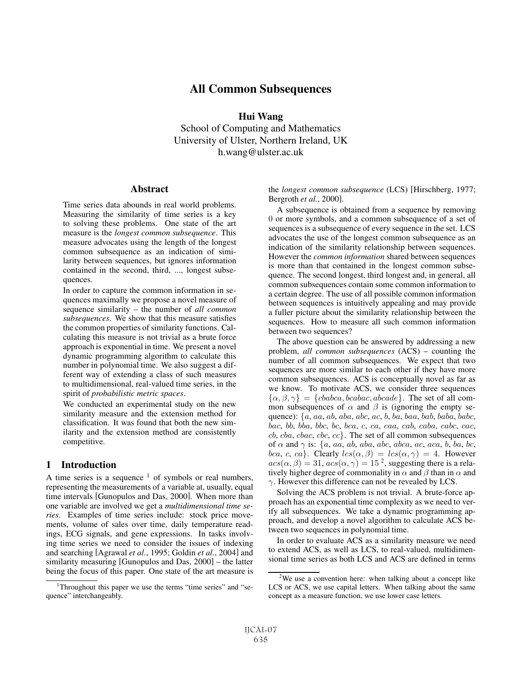# All Common Subsequences

Hui Wang School of Computing and Mathematics University of Ulster, Northern Ireland, UK h.wang@ulster.ac.uk

#### **Abstract**

Time series data abounds in real world problems. Measuring the similarity of time series is a key to solving these problems. One state of the art measure is the *longest common subsequence*. This measure advocates using the length of the longest common subsequence as an indication of similarity between sequences, but ignores information contained in the second, third, ..., longest subsequences.

In order to capture the common information in sequences maximally we propose a novel measure of sequence similarity – the number of *all common subsequences*. We show that this measure satisfies the common properties of similarity functions. Calculating this measure is not trivial as a brute force approach is exponential in time. We present a novel dynamic programming algorithm to calculate this number in polynomial time. We also suggest a different way of extending a class of such measures to multidimensional, real-valued time series, in the spirit of *probabilistic metric spaces*.

We conducted an experimental study on the new similarity measure and the extension method for classification. It was found that both the new similarity and the extension method are consistently competitive.

### 1 Introduction

A time series is a sequence  $1$  of symbols or real numbers, representing the measurements of a variable at, usually, equal time intervals [Gunopulos and Das, 2000]. When more than one variable are involved we get a *multidimensional time series*. Examples of time series include: stock price movements, volume of sales over time, daily temperature readings, ECG signals, and gene expressions. In tasks involving time series we need to consider the issues of indexing and searching [Agrawal *et al.*, 1995; Goldin *et al.*, 2004] and similarity measuring [Gunopulos and Das, 2000] – the latter being the focus of this paper. One state of the art measure is

the *longest common subsequence* (LCS) [Hirschberg, 1977; Bergroth *et al.*, 2000].

A subsequence is obtained from a sequence by removing 0 or more symbols, and a common subsequence of a set of sequences is a subsequence of every sequence in the set. LCS advocates the use of the longest common subsequence as an indication of the similarity relationship between sequences. However the *common information* shared between sequences is more than that contained in the longest common subsequence. The second longest, third longest and, in general, all common subsequences contain some common information to a certain degree. The use of all possible common information between sequences is intuitively appealing and may provide a fuller picture about the similarity relationship between the sequences. How to measure all such common information between two sequences?

The above question can be answered by addressing a new problem, *all common subsequences* (ACS) – counting the number of all common subsequences. We expect that two sequences are more similar to each other if they have more common subsequences. ACS is conceptually novel as far as we know. To motivate ACS, we consider three sequences  $\{\alpha, \beta, \gamma\} = \{cbabca, bcabac, abcade\}.$  The set of all common subsequences of  $\alpha$  and  $\beta$  is (ignoring the empty sequence):  $\{a, aa, ab, aba, abc, ac, b, ba, baa, bab, baba, babc,$ bac, bb, bba, bbc, bc, bca, c, ca, caa, cab, caba, cabc, cac,  $cb, cba, cbac, cbc, cc\}$ . The set of all common subsequences of  $\alpha$  and  $\gamma$  is: {a, aa, ab, aba, abc, abca, ac, aca, b, ba, bc, bca, c, ca}. Clearly  $lcs(\alpha, \beta) = lcs(\alpha, \gamma) = 4$ . However  $acs(\alpha, \beta) = 31, \, \alpha cs(\alpha, \gamma) = 15^2$ , suggesting there is a relatively higher degree of commonality in  $\alpha$  and  $\beta$  than in  $\alpha$  and  $\gamma$ . However this difference can not be revealed by LCS.

Solving the ACS problem is not trivial. A brute-force approach has an exponential time complexity as we need to verify all subsequences. We take a dynamic programming approach, and develop a novel algorithm to calculate ACS between two sequences in polynomial time.

In order to evaluate ACS as a similarity measure we need to extend ACS, as well as LCS, to real-valued, multidimensional time series as both LCS and ACS are defined in terms

<sup>&</sup>lt;sup>1</sup>Throughout this paper we use the terms "time series" and "sequence" interchangeably.

 $2$ We use a convention here: when talking about a concept like LCS or ACS, we use capital letters. When talking about the same concept as a measure function, we use lower case letters.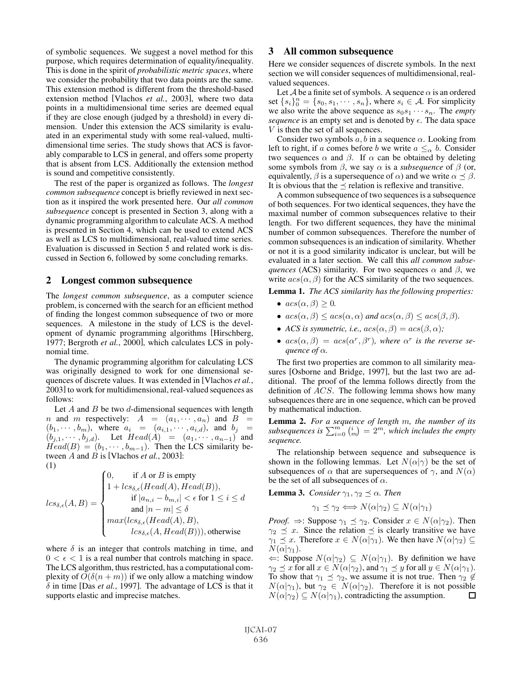of symbolic sequences. We suggest a novel method for this purpose, which requires determination of equality/inequality. This is done in the spirit of *probabilistic metric spaces*, where we consider the probability that two data points are the same. This extension method is different from the threshold-based extension method [Vlachos *et al.*, 2003], where two data points in a multidimensional time series are deemed equal if they are close enough (judged by a threshold) in every dimension. Under this extension the ACS similarity is evaluated in an experimental study with some real-valued, multidimensional time series. The study shows that ACS is favorably comparable to LCS in general, and offers some property that is absent from LCS. Additionally the extension method is sound and competitive consistently.

The rest of the paper is organized as follows. The *longest common subsequence* concept is briefly reviewed in next section as it inspired the work presented here. Our *all common subsequence* concept is presented in Section 3, along with a dynamic programming algorithm to calculate ACS. A method is presented in Section 4, which can be used to extend ACS as well as LCS to multidimensional, real-valued time series. Evaluation is discussed in Section 5 and related work is discussed in Section 6, followed by some concluding remarks.

#### 2 Longest common subsequence

The *longest common subsequence*, as a computer science problem, is concerned with the search for an efficient method of finding the longest common subsequence of two or more sequences. A milestone in the study of LCS is the development of dynamic programming algorithms [Hirschberg, 1977; Bergroth *et al.*, 2000], which calculates LCS in polynomial time.

The dynamic programming algorithm for calculating LCS was originally designed to work for one dimensional sequences of discrete values. It was extended in [Vlachos *et al.*, 2003] to work for multidimensional, real-valued sequences as follows:

Let A and B be two  $d$ -dimensional sequences with length *n* and *m* respectively:  $A = (a_1, \dots, a_n)$  and  $B =$  $(b_1, \dots, b_m)$ , where  $a_i = (a_{i,1}, \dots, a_{i,d})$ , and  $b_j =$  $(b_{j,1},\cdots,b_{j,d})$ . Let  $Head(A) = (a_1,\cdots,a_{n-1})$  and  $Head(B) = (b_1, \cdots, b_{m-1})$ . Then the LCS similarity between A and B is [Vlachos *et al.*, 2003]: (1)

$$
lcs_{\delta,\epsilon}(A,B) = \begin{cases} 0, & \text{if } A \text{ or } B \text{ is empty} \\ 1 + lcs_{\delta,\epsilon}(Head(A), Head(B)), & \text{if } |a_{n,i} - b_{m,i}| < \epsilon \text{ for } 1 \le i \le d \\ & \text{and } |n - m| \le \delta \\ max(lcs_{\delta,\epsilon}(Head(A), B), & lcs_{\delta,\epsilon}(A, Head(B))), \text{otherwise} \end{cases}
$$

where  $\delta$  is an integer that controls matching in time, and  $0 < \epsilon < 1$  is a real number that controls matching in space. The LCS algorithm, thus restricted, has a computational complexity of  $O(\delta(n+m))$  if we only allow a matching window  $\delta$  in time [Das *et al.*, 1997]. The advantage of LCS is that it supports elastic and imprecise matches.

#### 3 All common subsequence

Here we consider sequences of discrete symbols. In the next section we will consider sequences of multidimensional, realvalued sequences.

Let A be a finite set of symbols. A sequence  $\alpha$  is an ordered set  $\{s_i\}_0^n = \{s_0, s_1, \cdots, s_n\}$ , where  $s_i \in A$ . For simplicity we also write the above sequence as  $s_0s_1 \cdots s_n$ . The *empty sequence* is an empty set and is denoted by  $\epsilon$ . The data space V is then the set of all sequences.

Consider two symbols  $a, b$  in a sequence  $\alpha$ . Looking from left to right, if a comes before b we write  $a \leq_{\alpha} b$ . Consider two sequences  $\alpha$  and  $\beta$ . If  $\alpha$  can be obtained by deleting some symbols from  $\beta$ , we say  $\alpha$  is a *subsequence* of  $\beta$  (or, equivalently,  $\beta$  is a supersequence of  $\alpha$ ) and we write  $\alpha \preceq \beta$ . It is obvious that the  $\preceq$  relation is reflexive and transitive.

A common subsequence of two sequences is a subsequence of both sequences. For two identical sequences, they have the maximal number of common subsequences relative to their length. For two different sequences, they have the minimal number of common subsequences. Therefore the number of common subsequences is an indication of similarity. Whether or not it is a good similarity indicator is unclear, but will be evaluated in a later section. We call this *all common subsequences* (ACS) similarity. For two sequences  $\alpha$  and  $\beta$ , we write  $acs(\alpha, \beta)$  for the ACS similarity of the two sequences.

Lemma 1. *The ACS similarity has the following properties:*

- $acs(\alpha, \beta) \geq 0$ .
- $acs(\alpha, \beta) \leq acs(\alpha, \alpha)$  and  $acs(\alpha, \beta) \leq acs(\beta, \beta)$ .
- *ACS is symmetric, i.e.,*  $acs(\alpha, \beta) = asc(\beta, \alpha)$ ;
- $acs(\alpha, \beta) = asc(\alpha^r, \beta^r)$ , where  $\alpha^r$  *is the reverse sequence of*  $\alpha$ *.*

The first two properties are common to all similarity measures [Osborne and Bridge, 1997], but the last two are additional. The proof of the lemma follows directly from the definition of  $\overline{ACS}$ . The following lemma shows how many subsequences there are in one sequence, which can be proved by mathematical induction.

**Lemma 2.** For a sequence of length m, the number of its subsequences is  $\sum_{i=0}^{m} {n \choose m} = 2^m$ , which includes the empty *sequence.*

The relationship between sequence and subsequence is shown in the following lemmas. Let  $N(\alpha|\gamma)$  be the set of subsequences of  $\alpha$  that are supersequences of  $\gamma$ , and  $N(\alpha)$ be the set of all subsequences of  $\alpha$ .

**Lemma 3.** *Consider*  $\gamma_1, \gamma_2 \preceq \alpha$ *. Then* 

$$
\gamma_1 \preceq \gamma_2 \Longleftrightarrow N(\alpha|\gamma_2) \subseteq N(\alpha|\gamma_1)
$$

*Proof.*  $\Rightarrow$ : Suppose  $\gamma_1 \preceq \gamma_2$ . Consider  $x \in N(\alpha|\gamma_2)$ . Then  $\gamma_2 \preceq x$ . Since the relation  $\preceq$  is clearly transitive we have  $\gamma_1 \preceq x$ . Therefore  $x \in N(\alpha|\gamma_1)$ . We then have  $N(\alpha|\gamma_2) \subseteq$  $N(\alpha|\gamma_1)$ .

 $\Leftarrow$ : Suppose  $N(\alpha|\gamma_2)$  ⊆  $N(\alpha|\gamma_1)$ . By definition we have  $\gamma_2 \preceq x$  for all  $x \in N(\alpha|\gamma_2)$ , and  $\gamma_1 \preceq y$  for all  $y \in N(\alpha|\gamma_1)$ . To show that  $\gamma_1 \preceq \gamma_2$ , we assume it is not true. Then  $\gamma_2 \notin$  $N(\alpha|\gamma_1)$ , but  $\gamma_2 \in N(\alpha|\gamma_2)$ . Therefore it is not possible  $N(\alpha|\gamma_2) \subseteq N(\alpha|\gamma_1)$ , contradicting the assumption.  $\Box$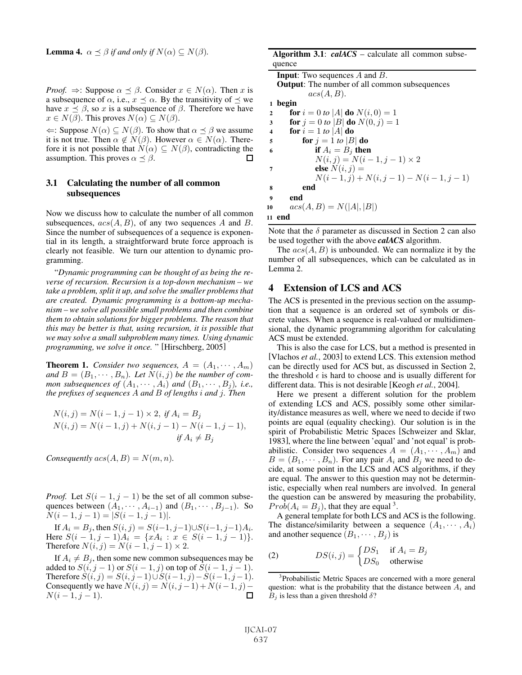**Lemma 4.**  $\alpha \leq \beta$  *if and only if*  $N(\alpha) \subseteq N(\beta)$ *.* 

*Proof.*  $\Rightarrow$ : Suppose  $\alpha \prec \beta$ . Consider  $x \in N(\alpha)$ . Then x is a subsequence of  $\alpha$ , i.e.,  $x \leq \alpha$ . By the transitivity of  $\leq$  we have  $x \preceq \beta$ , so x is a subsequence of  $\beta$ . Therefore we have  $x \in N(\beta)$ . This proves  $N(\alpha) \subseteq N(\beta)$ .

 $\Leftarrow$ : Suppose  $N(\alpha)$  ⊆  $N(\beta)$ . To show that  $\alpha \preceq \beta$  we assume it is not true. Then  $\alpha \notin N(\beta)$ . However  $\alpha \in N(\alpha)$ . Therefore it is not possible that  $N(\alpha) \subseteq N(\beta)$ , contradicting the assumption. This proves  $\alpha \preceq \beta$ .  $\Box$ 

#### 3.1 Calculating the number of all common subsequences

Now we discuss how to calculate the number of all common subsequences,  $acs(A, B)$ , of any two sequences A and B. Since the number of subsequences of a sequence is exponential in its length, a straightforward brute force approach is clearly not feasible. We turn our attention to dynamic programming.

"*Dynamic programming can be thought of as being the reverse of recursion. Recursion is a top-down mechanism – we take a problem, split it up, and solve the smaller problems that are created. Dynamic programming is a bottom-up mechanism – we solve all possible small problems and then combine them to obtain solutions for bigger problems. The reason that this may be better is that, using recursion, it is possible that we may solve a small subproblem many times. Using dynamic programming, we solve it once.* " [Hirschberg, 2005]

**Theorem 1.** *Consider two sequences,*  $A = (A_1, \dots, A_m)$ and  $B = (B_1, \dots, B_n)$ . Let  $N(i, j)$  be the number of com*mon subsequences of*  $(A_1, \dots, A_i)$  *and*  $(B_1, \dots, B_i)$ *, i.e., the prefixes of sequences* A *and* B *of lengths* i *and* j*. Then*

$$
N(i, j) = N(i - 1, j - 1) \times 2, \text{ if } A_i = B_j
$$
  
\n
$$
N(i, j) = N(i - 1, j) + N(i, j - 1) - N(i - 1, j - 1),
$$
  
\nif  $A_i \neq B_j$ 

*Consequently*  $acs(A, B) = N(m, n)$ *.* 

*Proof.* Let  $S(i - 1, j - 1)$  be the set of all common subsequences between  $(A_1, \dots, A_{i-1})$  and  $(B_1, \dots, B_{j-1})$ . So  $N(i-1, j-1) = |S(i-1, j-1)|.$ 

If  $A_i = B_j$ , then  $S(i, j) = S(i-1, j-1) \cup S(i-1, j-1)A_i$ . Here  $S(i - 1, j - 1)A_i = \{xA_i : x \in S(i - 1, j - 1)\}.$ Therefore  $N(i, j) = N(i - 1, j - 1) \times 2$ .

If  $A_i \neq B_j$ , then some new common subsequences may be added to  $S(i, j − 1)$  or  $S(i − 1, j)$  on top of  $S(i − 1, j − 1)$ . Therefore  $S(i, j) = S(i, j-1) \cup S(i-1, j) - S(i-1, j-1)$ . Consequently we have  $N(i, j) = N(i, j-1) + N(i-1, j) \blacksquare$  $N(i-1, j-1).$ 

| Algorithm 3.1: $calCS$ – calculate all common subse- |
|------------------------------------------------------|
| quence                                               |
| <b>Input:</b> Two sequences $A$ and $B$ .            |
| <b>Output:</b> The number of all common subsequences |

|                         | acs(A, B).                                        |
|-------------------------|---------------------------------------------------|
| $\mathbf{1}$            | begin                                             |
| $\mathbf{2}$            | <b>for</b> $i = 0$ to  A  <b>do</b> $N(i, 0) = 1$ |
| 3                       | <b>for</b> $j = 0$ to  B  <b>do</b> $N(0, j) = 1$ |
| $\overline{\mathbf{4}}$ | for $i = 1$ to  A  do                             |
| 5                       | for $j = 1$ to $ B $ do                           |
| 6                       | if $A_i = B_i$ then                               |
|                         | $N(i, j) = N(i - 1, j - 1) \times 2$              |
| 7                       | else $N(i, j) =$                                  |
|                         | $N(i-1, j) + N(i, j-1) - N(i-1, j-1)$             |
| 8                       | end                                               |
| 9                       | end                                               |
| 10                      | $acs(A, B) = N( A ,  B )$                         |
|                         | 11 end                                            |

Note that the  $\delta$  parameter as discussed in Section 2 can also be used together with the above *calACS* algorithm.

The  $acs(A, B)$  is unbounded. We can normalize it by the number of all subsequences, which can be calculated as in Lemma 2.

#### 4 Extension of LCS and ACS

The ACS is presented in the previous section on the assumption that a sequence is an ordered set of symbols or discrete values. When a sequence is real-valued or multidimensional, the dynamic programming algorithm for calculating ACS must be extended.

This is also the case for LCS, but a method is presented in [Vlachos *et al.*, 2003] to extend LCS. This extension method can be directly used for ACS but, as discussed in Section 2, the threshold  $\epsilon$  is hard to choose and is usually different for different data. This is not desirable [Keogh *et al.*, 2004].

Here we present a different solution for the problem of extending LCS and ACS, possibly some other similarity/distance measures as well, where we need to decide if two points are equal (equality checking). Our solution is in the spirit of Probabilistic Metric Spaces [Schweizer and Sklar, 1983], where the line between 'equal' and 'not equal' is probabilistic. Consider two sequences  $A = (A_1, \dots, A_m)$  and  $B = (B_1, \dots, B_n)$ . For any pair  $A_i$  and  $B_j$  we need to decide, at some point in the LCS and ACS algorithms, if they are equal. The answer to this question may not be deterministic, especially when real numbers are involved. In general the question can be answered by measuring the probability,  $Prob(A_i = B_i)$ , that they are equal <sup>3</sup>.

A general template for both LCS and ACS is the following. The distance/similarity between a sequence  $(A_1, \dots, A_i)$ and another sequence  $(B_1, \dots, B_i)$  is

(2) 
$$
DS(i,j) = \begin{cases} DS_1 & \text{if } A_i = B_j \\ DS_0 & \text{otherwise} \end{cases}
$$

<sup>3</sup>Probabilistic Metric Spaces are concerned with a more general question: what is the probability that the distance between  $A_i$  and  $B_i$  is less than a given threshold  $\delta$ ?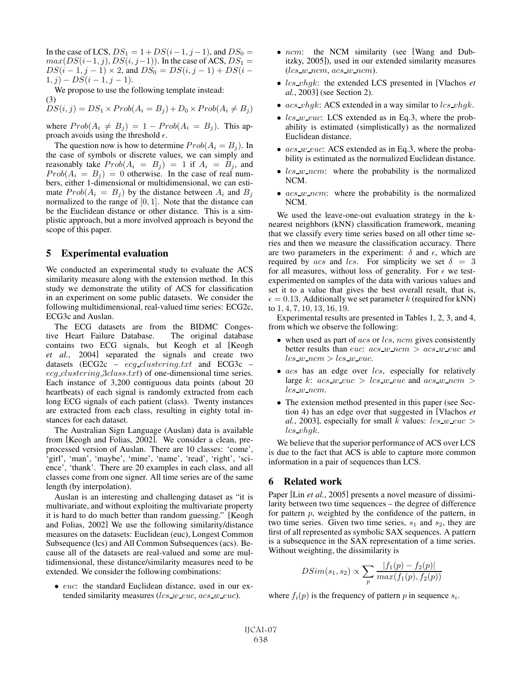In the case of LCS,  $DS_1 = 1 + DS(i-1, j-1)$ , and  $DS_0 =$  $max(DS(i-1, j), DS(i, j-1))$ . In the case of ACS,  $DS_1 =$  $DS(i - 1, j - 1) \times 2$ , and  $DS_0 = DS(i, j - 1) + DS(i 1, j) - DS(i - 1, j - 1).$ 

We propose to use the following template instead: (3)

 $DS(i, j) = DS_1 \times Prob(A_i = B_j) + D_0 \times Prob(A_i \neq B_j)$ 

where  $Prob(A_i \neq B_j) = 1 - Prob(A_i = B_j)$ . This approach avoids using the threshold  $\epsilon$ .

The question now is how to determine  $Prob(A_i = B_i)$ . In the case of symbols or discrete values, we can simply and reasonably take  $Prob(A_i = B_j) = 1$  if  $A_i = B_j$ , and  $Prob(A_i = B_j) = 0$  otherwise. In the case of real numbers, either 1-dimensional or multidimensional, we can estimate  $Prob(A_i = B_j)$  by the distance between  $A_i$  and  $B_j$ normalized to the range of  $[0, 1]$ . Note that the distance can be the Euclidean distance or other distance. This is a simplistic approach, but a more involved approach is beyond the scope of this paper.

#### 5 Experimental evaluation

We conducted an experimental study to evaluate the ACS similarity measure along with the extension method. In this study we demonstrate the utility of ACS for classification in an experiment on some public datasets. We consider the following multidimensional, real-valued time series: ECG2c, ECG3c and Auslan.

The ECG datasets are from the BIDMC Congestive Heart Failure Database. The original database contains two ECG signals, but Keogh et al [Keogh *et al.*, 2004] separated the signals and create two datasets (ECG2c –  $ecq\_clustering.txt$  and ECG3c – ecg clustering 3class.txt) of one-dimensional time series. Each instance of 3,200 contiguous data points (about 20 heartbeats) of each signal is randomly extracted from each long ECG signals of each patient (class). Twenty instances are extracted from each class, resulting in eighty total instances for each dataset.

The Australian Sign Language (Auslan) data is available from [Keogh and Folias, 2002]. We consider a clean, preprocessed version of Auslan. There are 10 classes: 'come', 'girl', 'man', 'maybe', 'mine', 'name', 'read', 'right', 'science', 'thank'. There are 20 examples in each class, and all classes come from one signer. All time series are of the same length (by interpolation).

Auslan is an interesting and challenging dataset as "it is multivariate, and without exploiting the multivariate property it is hard to do much better than random guessing." [Keogh and Folias, 2002] We use the following similarity/distance measures on the datasets: Euclidean (euc), Longest Common Subsequence (lcs) and All Common Subsequences (acs). Because all of the datasets are real-valued and some are multidimensional, these distance/similarity measures need to be extended. We consider the following combinations:

• euc: the standard Euclidean distance, used in our extended similarity measures ( $lcs$  w euc,  $acs$  w euc).

- ncm: the NCM similarity (see [Wang and Dubitzky, 2005]), used in our extended similarity measures  $(lcs_w$  ncm, acs w ncm).
- lcs vhgk: the extended LCS presented in [Vlachos *et al.*, 2003] (see Section 2).
- $acs\_vhqk$ : ACS extended in a way similar to  $lcs\_vhqk$ .
- $lcs$  *w euc*: LCS extended as in Eq.3, where the probability is estimated (simplistically) as the normalized Euclidean distance.
- $acs_w_euc$ : ACS extended as in Eq.3, where the probability is estimated as the normalized Euclidean distance.
- $lcs$  *w* ncm: where the probability is the normalized NCM.
- $acs_w$ -ncm: where the probability is the normalized NCM.

We used the leave-one-out evaluation strategy in the knearest neighbors (kNN) classification framework, meaning that we classify every time series based on all other time series and then we measure the classification accuracy. There are two parameters in the experiment:  $\delta$  and  $\epsilon$ , which are required by acs and lcs. For simplicity we set  $\delta = 3$ for all measures, without loss of generality. For  $\epsilon$  we testexperimented on samples of the data with various values and set it to a value that gives the best overall result, that is,  $\epsilon = 0.13$ . Additionally we set parameter k (required for kNN) to 1, 4, 7, 10, 13, 16, 19.

Experimental results are presented in Tables 1, 2, 3, and 4, from which we observe the following:

- when used as part of  $acs$  or  $lcs$ , ncm gives consistently better results than *euc*:  $acs_w$  *ncm*  $>$   $acs_w$  *euc* and  $lcs_w$ \_ncm >  $lcs_w$ \_euc.
- $\bullet$  acs has an edge over lcs, especially for relatively large k:  $acs_w_e$  =  $lcs_w_e$  and  $acs_w$  ncm > lcs w ncm.
- The extension method presented in this paper (see Section 4) has an edge over that suggested in [Vlachos *et al.*, 2003], especially for small k values:  $lcs$  w euc > lcs vhgk.

We believe that the superior performance of ACS over LCS is due to the fact that ACS is able to capture more common information in a pair of sequences than LCS.

#### 6 Related work

Paper [Lin *et al.*, 2005] presents a novel measure of dissimilarity between two time sequences – the degree of difference for pattern  $p$ , weighted by the confidence of the pattern, in two time series. Given two time series,  $s_1$  and  $s_2$ , they are first of all represented as symbolic SAX sequences. A pattern is a subsequence in the SAX representation of a time series. Without weighting, the dissimilarity is

$$
DSim(s_1, s_2) \propto \sum_{p} \frac{|f_1(p) - f_2(p)|}{max(f_1(p), f_2(p))}
$$

where  $f_i(p)$  is the frequency of pattern p in sequence  $s_i$ .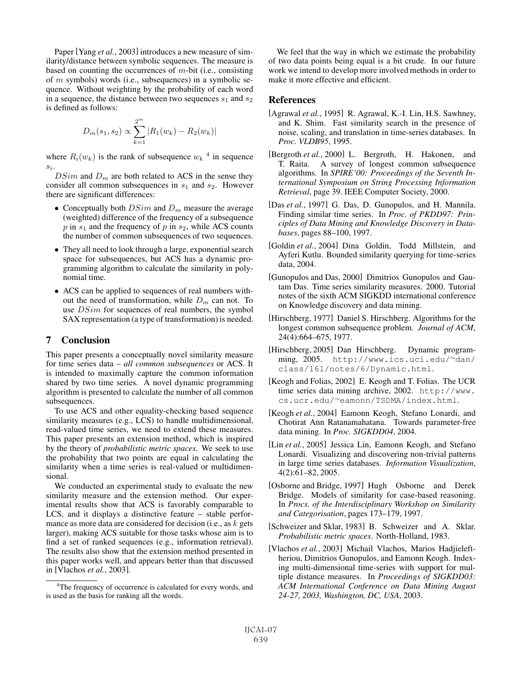Paper [Yang *et al.*, 2003] introduces a new measure of similarity/distance between symbolic sequences. The measure is based on counting the occurrences of  $m$ -bit (i.e., consisting of m symbols) words (i.e., subsequences) in a symbolic sequence. Without weighting by the probability of each word in a sequence, the distance between two sequences  $s_1$  and  $s_2$ is defined as follows:

$$
D_m(s_1, s_2) \propto \sum_{k=1}^{2^m} |R_1(w_k) - R_2(w_k)|
$$

where  $R_i(w_k)$  is the rank of subsequence  $w_k$ <sup>4</sup> in sequence  $s_i$ .

 $DSim$  and  $D_m$  are both related to ACS in the sense they consider all common subsequences in  $s_1$  and  $s_2$ . However there are significant differences:

- Conceptually both  $DSim$  and  $D_m$  measure the average (weighted) difference of the frequency of a subsequence p in  $s_1$  and the frequency of p in  $s_2$ , while ACS counts the number of common subsequences of two sequences.
- They all need to look through a large, exponential search space for subsequences, but ACS has a dynamic programming algorithm to calculate the similarity in polynomial time.
- ACS can be applied to sequences of real numbers without the need of transformation, while  $D_m$  can not. To use  $DSim$  for sequences of real numbers, the symbol SAX representation (a type of transformation) is needed.

### 7 Conclusion

This paper presents a conceptually novel similarity measure for time series data – *all common subsequences* or ACS. It is intended to maximally capture the common information shared by two time series. A novel dynamic programming algorithm is presented to calculate the number of all common subsequences.

To use ACS and other equality-checking based sequence similarity measures (e.g., LCS) to handle multidimensional, read-valued time series, we need to extend these measures. This paper presents an extension method, which is inspired by the theory of *probabilistic metric spaces*. We seek to use the probability that two points are equal in calculating the similarity when a time series is real-valued or multidimensional.

We conducted an experimental study to evaluate the new similarity measure and the extension method. Our experimental results show that ACS is favorably comparable to LCS, and it displays a distinctive feature – stable performance as more data are considered for decision (i.e., as  $k$  gets larger), making ACS suitable for those tasks whose aim is to find a set of ranked sequences (e.g., information retrieval). The results also show that the extension method presented in this paper works well, and appears better than that discussed in [Vlachos *et al.*, 2003].

We feel that the way in which we estimate the probability of two data points being equal is a bit crude. In our future work we intend to develop more involved methods in order to make it more effective and efficient.

#### References

- [Agrawal *et al.*, 1995] R. Agrawal, K.-I. Lin, H.S. Sawhney, and K. Shim. Fast similarity search in the presence of noise, scaling, and translation in time-series databases. In *Proc. VLDB95*, 1995.
- [Bergroth *et al.*, 2000] L. Bergroth, H. Hakonen, and T. Raita. A survey of longest common subsequence algorithms. In *SPIRE'00: Proceedings of the Seventh International Symposium on String Processing Information Retrieval*, page 39. IEEE Computer Society, 2000.
- [Das *et al.*, 1997] G. Das, D. Gunopulos, and H. Mannila. Finding similar time series. In *Proc. of PKDD97: Principles of Data Mining and Knowledge Discovery in Databases*, pages 88–100, 1997.
- [Goldin *et al.*, 2004] Dina Goldin, Todd Millstein, and Ayferi Kutlu. Bounded similarity querying for time-series data, 2004.
- [Gunopulos and Das, 2000] Dimitrios Gunopulos and Gautam Das. Time series similarity measures. 2000. Tutorial notes of the sixth ACM SIGKDD international conference on Knowledge discovery and data mining.
- [Hirschberg, 1977] Daniel S. Hirschberg. Algorithms for the longest common subsequence problem. *Journal of ACM*, 24(4):664–675, 1977.
- [Hirschberg, 2005] Dan Hirschberg. Dynamic programming, 2005. http://www.ics.uci.edu/∼dan/ class/161/notes/6/Dynamic.html.
- [Keogh and Folias, 2002] E. Keogh and T. Folias. The UCR time series data mining archive, 2002. http://www. cs.ucr.edu/∼eamonn/TSDMA/index.html.
- [Keogh *et al.*, 2004] Eamonn Keogh, Stefano Lonardi, and Chotirat Ann Ratanamahatana. Towards parameter-free data mining. In *Proc. SIGKDD04*, 2004.
- [Lin *et al.*, 2005] Jessica Lin, Eamonn Keogh, and Stefano Lonardi. Visualizing and discovering non-trivial patterns in large time series databases. *Information Visualization*, 4(2):61–82, 2005.
- [Osborne and Bridge, 1997] Hugh Osborne and Derek Bridge. Models of similarity for case-based reasoning. In *Procs. of the Interdisciplinary Workshop on Similarity and Categorisation*, pages 173–179, 1997.
- [Schweizer and Sklar, 1983] B. Schweizer and A. Sklar. *Probabilistic metric spaces*. North-Holland, 1983.
- [Vlachos *et al.*, 2003] Michail Vlachos, Marios Hadjieleftheriou, Dimitrios Gunopulos, and Eamonn Keogh. Indexing multi-dimensional time-series with support for multiple distance measures. In *Proceedings of SIGKDD03: ACM International Conference on Data Mining August 24-27, 2003, Washington, DC, USA*, 2003.

<sup>&</sup>lt;sup>4</sup>The frequency of occurrence is calculated for every words, and is used as the basis for ranking all the words.